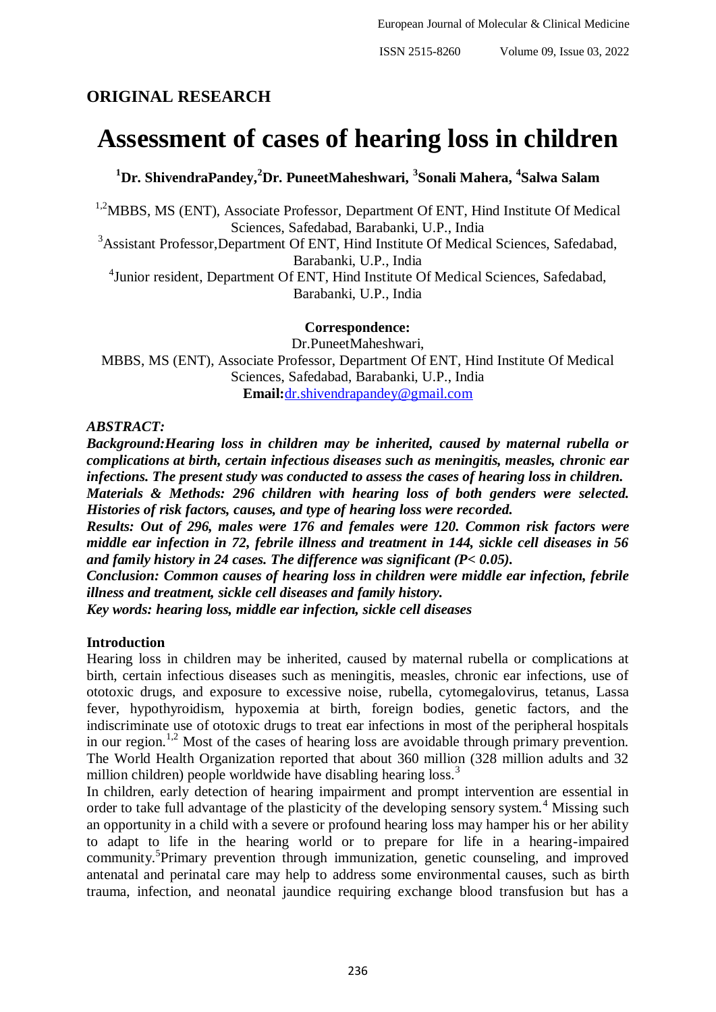# **ORIGINAL RESEARCH**

# **Assessment of cases of hearing loss in children**

**<sup>1</sup>Dr. ShivendraPandey, <sup>2</sup>Dr. PuneetMaheshwari, <sup>3</sup> Sonali Mahera, <sup>4</sup> Salwa Salam**

<sup>1,2</sup>MBBS, MS (ENT), Associate Professor, Department Of ENT, Hind Institute Of Medical Sciences, Safedabad, Barabanki, U.P., India

<sup>3</sup>Assistant Professor,Department Of ENT, Hind Institute Of Medical Sciences, Safedabad, Barabanki, U.P., India

<sup>4</sup> Junior resident, Department Of ENT, Hind Institute Of Medical Sciences, Safedabad, Barabanki, U.P., India

**Correspondence:**

Dr.PuneetMaheshwari, MBBS, MS (ENT), Associate Professor, Department Of ENT, Hind Institute Of Medical Sciences, Safedabad, Barabanki, U.P., India **Email:**[dr.shivendrapandey@gmail.com](mailto:dr.shivendrapandey@gmail.com)

*ABSTRACT:*

*Background:Hearing loss in children may be inherited, caused by maternal rubella or complications at birth, certain infectious diseases such as meningitis, measles, chronic ear infections. The present study was conducted to assess the cases of hearing loss in children.*

*Materials & Methods: 296 children with hearing loss of both genders were selected. Histories of risk factors, causes, and type of hearing loss were recorded.*

*Results: Out of 296, males were 176 and females were 120. Common risk factors were middle ear infection in 72, febrile illness and treatment in 144, sickle cell diseases in 56 and family history in 24 cases. The difference was significant (P< 0.05).*

*Conclusion: Common causes of hearing loss in children were middle ear infection, febrile illness and treatment, sickle cell diseases and family history.*

*Key words: hearing loss, middle ear infection, sickle cell diseases*

### **Introduction**

Hearing loss in children may be inherited, caused by maternal rubella or complications at birth, certain infectious diseases such as meningitis, measles, chronic ear infections, use of ototoxic drugs, and exposure to excessive noise, rubella, cytomegalovirus, tetanus, Lassa fever, hypothyroidism, hypoxemia at birth, foreign bodies, genetic factors, and the indiscriminate use of ototoxic drugs to treat ear infections in most of the peripheral hospitals in our region.<sup>1,2</sup> Most of the cases of hearing loss are avoidable through primary prevention. The World Health Organization reported that about 360 million (328 million adults and 32 million children) people worldwide have disabling hearing loss.<sup>3</sup>

In children, early detection of hearing impairment and prompt intervention are essential in order to take full advantage of the plasticity of the developing sensory system.<sup>4</sup> Missing such an opportunity in a child with a severe or profound hearing loss may hamper his or her ability to adapt to life in the hearing world or to prepare for life in a hearing-impaired community.<sup>5</sup>Primary prevention through immunization, genetic counseling, and improved antenatal and perinatal care may help to address some environmental causes, such as birth trauma, infection, and neonatal jaundice requiring exchange blood transfusion but has a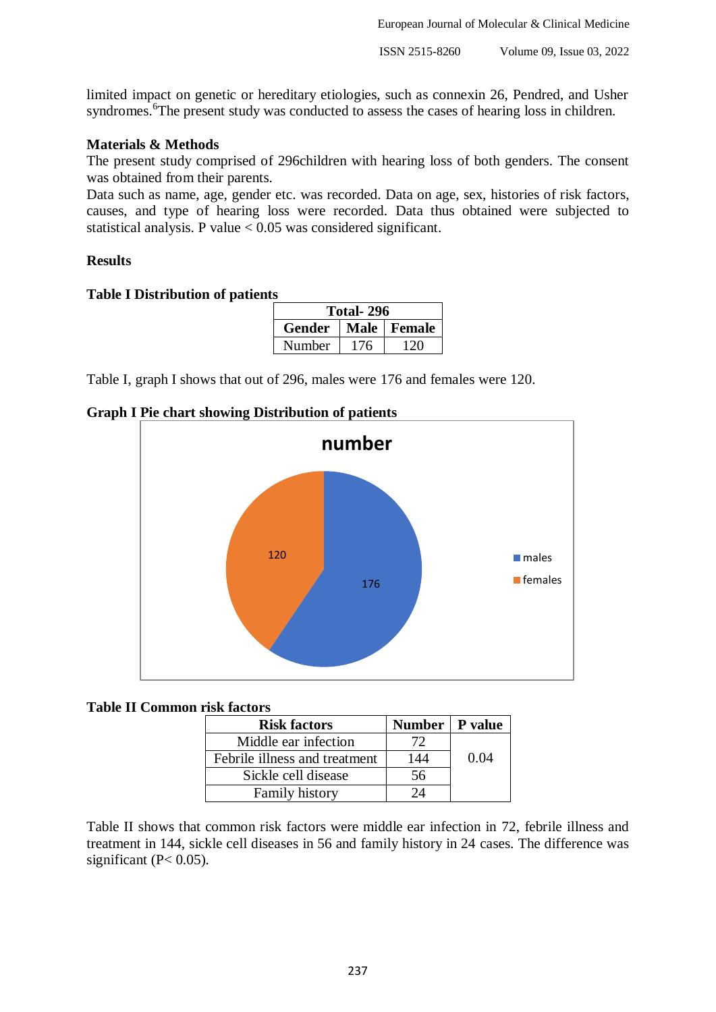European Journal of Molecular & Clinical Medicine

limited impact on genetic or hereditary etiologies, such as connexin 26, Pendred, and Usher syndromes.<sup>6</sup>The present study was conducted to assess the cases of hearing loss in children.

# **Materials & Methods**

The present study comprised of 296children with hearing loss of both genders. The consent was obtained from their parents.

Data such as name, age, gender etc. was recorded. Data on age, sex, histories of risk factors, causes, and type of hearing loss were recorded. Data thus obtained were subjected to statistical analysis. P value < 0.05 was considered significant.

### **Results**

#### **Table I Distribution of patients**

| Total-296 |     |               |  |
|-----------|-----|---------------|--|
| Gender    |     | Male   Female |  |
| Number    | 176 | 120           |  |

Table I, graph I shows that out of 296, males were 176 and females were 120.

#### **Graph I Pie chart showing Distribution of patients**



#### **Table II Common risk factors**

| <b>Risk factors</b>           | Number   P value |      |
|-------------------------------|------------------|------|
| Middle ear infection          | 72               |      |
| Febrile illness and treatment | 144              | 0.04 |
| Sickle cell disease           | 56               |      |
| <b>Family history</b>         | 7Λ               |      |

Table II shows that common risk factors were middle ear infection in 72, febrile illness and treatment in 144, sickle cell diseases in 56 and family history in 24 cases. The difference was significant ( $P < 0.05$ ).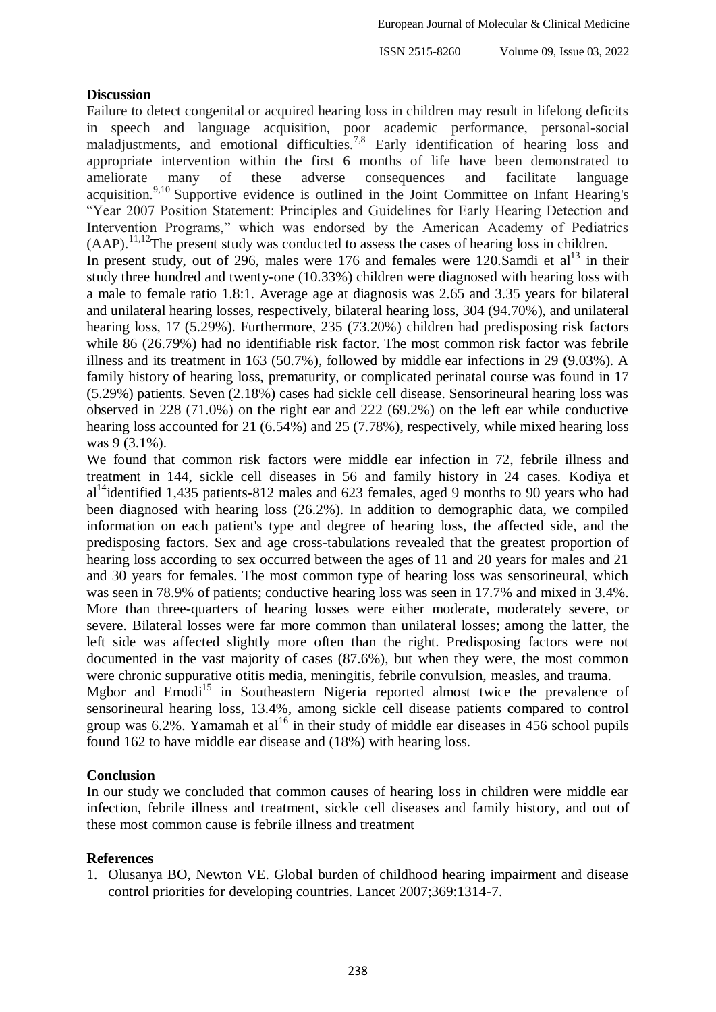ISSN 2515-8260 Volume 09, Issue 03, 2022

# **Discussion**

Failure to detect congenital or acquired hearing loss in children may result in lifelong deficits in speech and language acquisition, poor academic performance, personal-social maladjustments, and emotional difficulties.<sup>7,8</sup> Early identification of hearing loss and appropriate intervention within the first 6 months of life have been demonstrated to ameliorate many of these adverse consequences and facilitate language acquisition.<sup>9,10</sup> Supportive evidence is outlined in the Joint Committee on Infant Hearing's "Year 2007 Position Statement: Principles and Guidelines for Early Hearing Detection and Intervention Programs," which was endorsed by the American Academy of Pediatrics  $(AAP)$ <sup>1,1,12</sup>The present study was conducted to assess the cases of hearing loss in children. In present study, out of 296, males were  $176$  and females were  $120.$ Samdi et al<sup>13</sup> in their study three hundred and twenty-one (10.33%) children were diagnosed with hearing loss with a male to female ratio 1.8:1. Average age at diagnosis was 2.65 and 3.35 years for bilateral and unilateral hearing losses, respectively, bilateral hearing loss, 304 (94.70%), and unilateral hearing loss, 17 (5.29%). Furthermore, 235 (73.20%) children had predisposing risk factors while 86 (26.79%) had no identifiable risk factor. The most common risk factor was febrile illness and its treatment in 163 (50.7%), followed by middle ear infections in 29 (9.03%). A family history of hearing loss, prematurity, or complicated perinatal course was found in 17 (5.29%) patients. Seven (2.18%) cases had sickle cell disease. Sensorineural hearing loss was observed in 228 (71.0%) on the right ear and 222 (69.2%) on the left ear while conductive hearing loss accounted for 21 (6.54%) and 25 (7.78%), respectively, while mixed hearing loss was 9 (3.1%).

We found that common risk factors were middle ear infection in 72, febrile illness and treatment in 144, sickle cell diseases in 56 and family history in 24 cases. Kodiya et  $al<sup>14</sup>$ identified 1,435 patients-812 males and 623 females, aged 9 months to 90 years who had been diagnosed with hearing loss (26.2%). In addition to demographic data, we compiled information on each patient's type and degree of hearing loss, the affected side, and the predisposing factors. Sex and age cross-tabulations revealed that the greatest proportion of hearing loss according to sex occurred between the ages of 11 and 20 years for males and 21 and 30 years for females. The most common type of hearing loss was sensorineural, which was seen in 78.9% of patients; conductive hearing loss was seen in 17.7% and mixed in 3.4%. More than three-quarters of hearing losses were either moderate, moderately severe, or severe. Bilateral losses were far more common than unilateral losses; among the latter, the left side was affected slightly more often than the right. Predisposing factors were not documented in the vast majority of cases (87.6%), but when they were, the most common were chronic suppurative otitis media, meningitis, febrile convulsion, measles, and trauma. Mgbor and Emodi<sup>15</sup> in Southeastern Nigeria reported almost twice the prevalence of

sensorineural hearing loss, 13.4%, among sickle cell disease patients compared to control group was  $6.2\%$ . Yamamah et al<sup>16</sup> in their study of middle ear diseases in 456 school pupils found 162 to have middle ear disease and (18%) with hearing loss.

# **Conclusion**

In our study we concluded that common causes of hearing loss in children were middle ear infection, febrile illness and treatment, sickle cell diseases and family history, and out of these most common cause is febrile illness and treatment

# **References**

1. Olusanya BO, Newton VE. Global burden of childhood hearing impairment and disease control priorities for developing countries. Lancet 2007;369:1314-7.